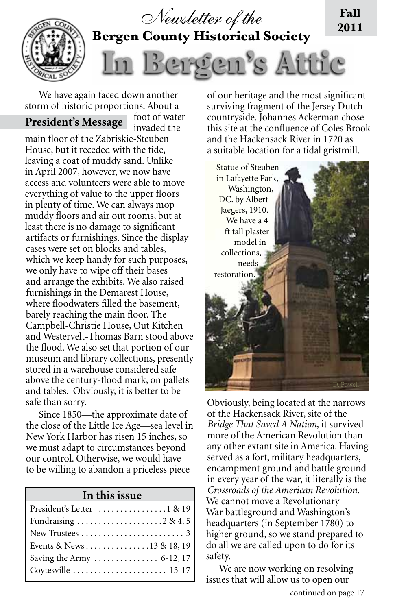

We have again faced down another storm of historic proportions. About a foot of water

## **President's Message**

invaded the main floor of the Zabriskie-Steuben House, but it receded with the tide, leaving a coat of muddy sand. Unlike in April 2007, however, we now have access and volunteers were able to move everything of value to the upper floors in plenty of time. We can always mop muddy floors and air out rooms, but at least there is no damage to significant artifacts or furnishings. Since the display cases were set on blocks and tables, which we keep handy for such purposes, we only have to wipe off their bases and arrange the exhibits. We also raised furnishings in the Demarest House, where floodwaters filled the basement, barely reaching the main floor. The Campbell-Christie House, Out Kitchen and Westervelt-Thomas Barn stood above the flood. We also set that portion of our museum and library collections, presently stored in a warehouse considered safe above the century-flood mark, on pallets and tables. Obviously, it is better to be safe than sorry.

Since 1850—the approximate date of the close of the Little Ice Age—sea level in New York Harbor has risen 15 inches, so we must adapt to circumstances beyond our control. Otherwise, we would have to be willing to abandon a priceless piece

#### **In this issue**

| President's Letter  1 & 19                               |
|----------------------------------------------------------|
|                                                          |
| New Trustees $\dots\dots\dots\dots\dots\dots\dots\dots3$ |
|                                                          |
|                                                          |
|                                                          |

of our heritage and the most significant surviving fragment of the Jersey Dutch countryside. Johannes Ackerman chose this site at the confluence of Coles Brook and the Hackensack River in 1720 as a suitable location for a tidal gristmill.



Obviously, being located at the narrows of the Hackensack River, site of the *Bridge That Saved A Nation,* it survived more of the American Revolution than any other extant site in America. Having served as a fort, military headquarters, encampment ground and battle ground in every year of the war, it literally is the *Crossroads of the American Revolution.* We cannot move a Revolutionary War battleground and Washington's headquarters (in September 1780) to higher ground, so we stand prepared to do all we are called upon to do for its safety.

We are now working on resolving issues that will allow us to open our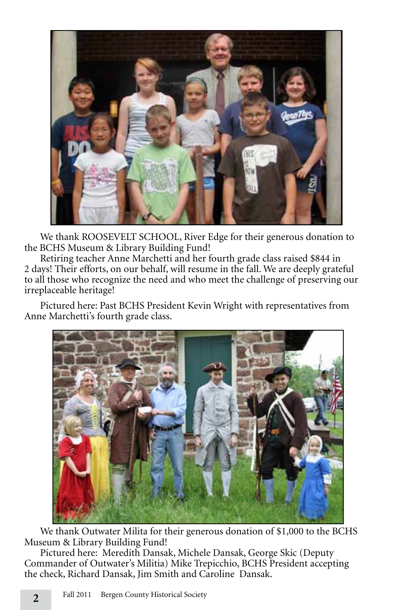

We thank ROOSEVELT SCHOOL, River Edge for their generous donation to the BCHS Museum & Library Building Fund!

Retiring teacher Anne Marchetti and her fourth grade class raised \$844 in 2 days! Their efforts, on our behalf, will resume in the fall. We are deeply grateful to all those who recognize the need and who meet the challenge of preserving our irreplaceable heritage!

Pictured here: Past BCHS President Kevin Wright with representatives from Anne Marchetti's fourth grade class.



We thank Outwater Milita for their generous donation of \$1,000 to the BCHS Museum & Library Building Fund!

Pictured here: Meredith Dansak, Michele Dansak, George Skic (Deputy Commander of Outwater's Militia) Mike Trepicchio, BCHS President accepting the check, Richard Dansak, Jim Smith and Caroline Dansak.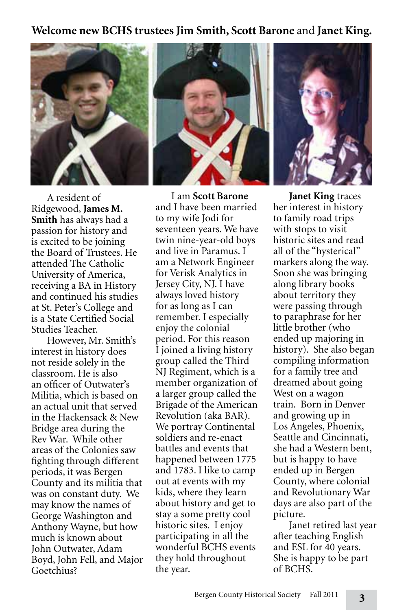### **Welcome new BCHS trustees Jim Smith, Scott Barone** and **Janet King.**



A resident of Ridgewood, **James M. Smith** has always had a passion for history and is excited to be joining the Board of Trustees. He attended The Catholic University of America, receiving a BA in History and continued his studies at St. Peter's College and is a State Certified Social Studies Teacher.

However, Mr. Smith's interest in history does not reside solely in the classroom. He is also an officer of Outwater's Militia, which is based on an actual unit that served in the Hackensack & New Bridge area during the Rev War. While other areas of the Colonies saw fighting through different periods, it was Bergen County and its militia that was on constant duty. We may know the names of George Washington and Anthony Wayne, but how much is known about John Outwater, Adam Boyd, John Fell, and Major Goetchius?

I am **Scott Barone** and I have been married to my wife Jodi for seventeen years. We have twin nine-year-old boys and live in Paramus. I am a Network Engineer for Verisk Analytics in Jersey City, NJ. I have always loved history for as long as I can remember. I especially enjoy the colonial period. For this reason I joined a living history group called the Third NJ Regiment, which is a member organization of a larger group called the Brigade of the American Revolution (aka BAR). We portray Continental soldiers and re-enact battles and events that happened between 1775 and 1783. I like to camp out at events with my kids, where they learn about history and get to stay a some pretty cool historic sites. I enjoy participating in all the wonderful BCHS events they hold throughout the year.

**Janet King** traces her interest in history to family road trips with stops to visit historic sites and read all of the "hysterical" markers along the way. Soon she was bringing along library books about territory they were passing through to paraphrase for her little brother (who ended up majoring in history). She also began compiling information for a family tree and dreamed about going West on a wagon train. Born in Denver and growing up in Los Angeles, Phoenix, Seattle and Cincinnati, she had a Western bent, but is happy to have ended up in Bergen County, where colonial and Revolutionary War days are also part of the picture.

Janet retired last year after teaching English and ESL for 40 years. She is happy to be part of BCHS.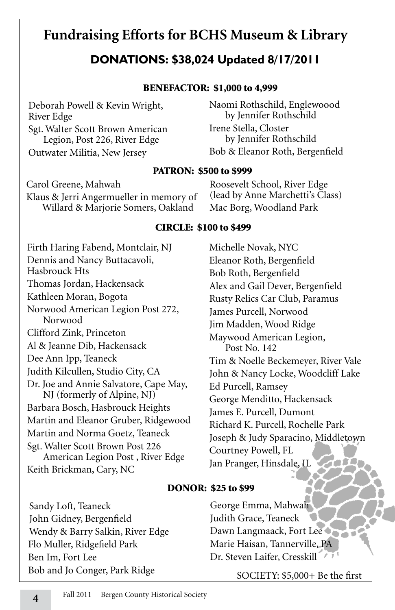# **Fundraising Efforts for BCHS Museum & Library**

## **DONATIONS: \$38,024 Updated 8/17/2011**

#### BENEFACTOR: \$1,000 to 4,999

Deborah Powell & Kevin Wright, River Edge Sgt. Walter Scott Brown American Legion, Post 226, River Edge Outwater Militia, New Jersey

Naomi Rothschild, Englewoood by Jennifer Rothschild Irene Stella, Closter by Jennifer Rothschild Bob & Eleanor Roth, Bergenfield

#### PATRON: \$500 to \$999

Carol Greene, Mahwah Klaus & Jerri Angermueller in memory of Willard & Marjorie Somers, Oakland

Roosevelt School, River Edge (lead by Anne Marchetti's Class) Mac Borg, Woodland Park

#### CIRCLE: \$100 to \$499

Firth Haring Fabend, Montclair, NJ Dennis and Nancy Buttacavoli, Hasbrouck Hts Thomas Jordan, Hackensack Kathleen Moran, Bogota Norwood American Legion Post 272, Norwood Clifford Zink, Princeton Al & Jeanne Dib, Hackensack Dee Ann Ipp, Teaneck Judith Kilcullen, Studio City, CA Dr. Joe and Annie Salvatore, Cape May, NJ (formerly of Alpine, NJ) Barbara Bosch, Hasbrouck Heights Martin and Eleanor Gruber, Ridgewood Martin and Norma Goetz, Teaneck Sgt. Walter Scott Brown Post 226 American Legion Post , River Edge Keith Brickman, Cary, NC

Michelle Novak, NYC Eleanor Roth, Bergenfield Bob Roth, Bergenfield Alex and Gail Dever, Bergenfield Rusty Relics Car Club, Paramus James Purcell, Norwood Jim Madden, Wood Ridge Maywood American Legion, Post No. 142 Tim & Noelle Beckemeyer, River Vale John & Nancy Locke, Woodcliff Lake Ed Purcell, Ramsey George Menditto, Hackensack James E. Purcell, Dumont Richard K. Purcell, Rochelle Park Joseph & Judy Sparacino, Middletown Courtney Powell, FL TOD DA Jan Pranger, Hinsdale, IL

#### DONOR: \$25 to \$99

Sandy Loft, Teaneck John Gidney, Bergenfield Wendy & Barry Salkin, River Edge Flo Muller, Ridgefield Park Ben Im, Fort Lee Bob and Jo Conger, Park Ridge

George Emma, Mahwah Judith Grace, Teaneck Dawn Langmaack, Fort Lee Marie Haisan, Tannerville, PA Dr. Steven Laifer, Cresskill

SOCIETY: \$5,000+ Be the first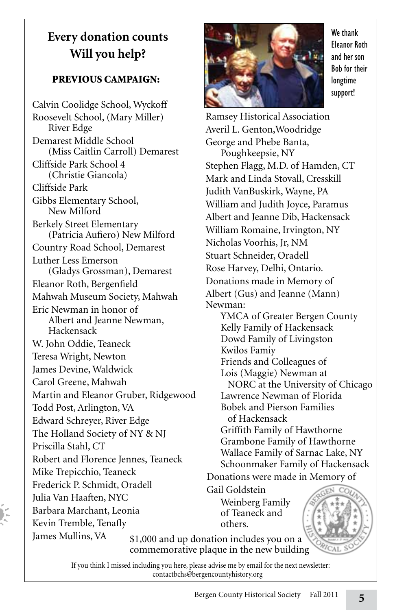# **Every donation counts Will you help?**

## PREVIOUS CAMPAIGN:

Calvin Coolidge School, Wyckoff Roosevelt School, (Mary Miller) River Edge Demarest Middle School (Miss Caitlin Carroll) Demarest Cliffside Park School 4 (Christie Giancola) Cliffside Park Gibbs Elementary School, New Milford Berkely Street Elementary (Patricia Aufiero) New Milford Country Road School, Demarest Luther Less Emerson (Gladys Grossman), Demarest Eleanor Roth, Bergenfield Mahwah Museum Society, Mahwah Eric Newman in honor of Albert and Jeanne Newman, Hackensack W. John Oddie, Teaneck Teresa Wright, Newton James Devine, Waldwick Carol Greene, Mahwah Martin and Eleanor Gruber, Ridgewood Todd Post, Arlington, VA Edward Schreyer, River Edge The Holland Society of NY & NJ Priscilla Stahl, CT Robert and Florence Jennes, Teaneck Mike Trepicchio, Teaneck Frederick P. Schmidt, Oradell Julia Van Haaften, NYC Barbara Marchant, Leonia Kevin Tremble, Tenafly James Mullins, VA



We thank Eleanor Roth and her son Bob for their longtime support!

Ramsey Historical Association Averil L. Genton,Woodridge George and Phebe Banta, Poughkeepsie, NY Stephen Flagg, M.D. of Hamden, CT Mark and Linda Stovall, Cresskill Judith VanBuskirk, Wayne, PA William and Judith Joyce, Paramus Albert and Jeanne Dib, Hackensack William Romaine, Irvington, NY Nicholas Voorhis, Jr, NM Stuart Schneider, Oradell Rose Harvey, Delhi, Ontario. Donations made in Memory of Albert (Gus) and Jeanne (Mann) Newman: YMCA of Greater Bergen County Kelly Family of Hackensack Dowd Family of Livingston Kwilos Famiy Friends and Colleagues of Lois (Maggie) Newman at NORC at the University of Chicago Lawrence Newman of Florida Bobek and Pierson Families of Hackensack Griffith Family of Hawthorne Grambone Family of Hawthorne Wallace Family of Sarnac Lake, NY Schoonmaker Family of Hackensack Donations were made in Memory of Gail Goldstein

Weinberg Family of Teaneck and others.

\$1,000 and up donation includes you on a commemorative plaque in the new building

If you think I missed including you here, please advise me by email for the next newsletter: contactbchs@bergencountyhistory.org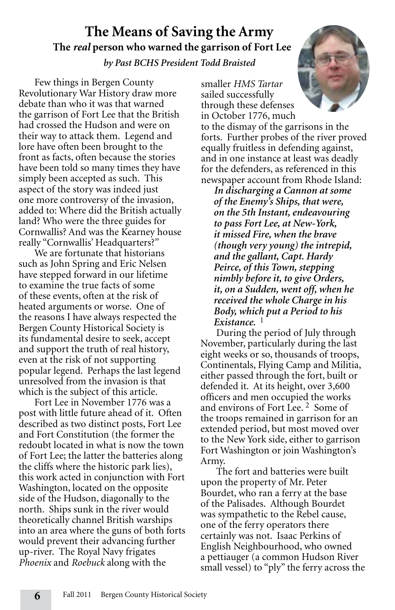## **The Means of Saving the Army The** *real* **person who warned the garrison of Fort Lee** *by Past BCHS President Todd Braisted*

Few things in Bergen County Revolutionary War History draw more debate than who it was that warned the garrison of Fort Lee that the British had crossed the Hudson and were on their way to attack them. Legend and lore have often been brought to the front as facts, often because the stories have been told so many times they have simply been accepted as such. This aspect of the story was indeed just one more controversy of the invasion, added to: Where did the British actually land? Who were the three guides for Cornwallis? And was the Kearney house really "Cornwallis' Headquarters?"

We are fortunate that historians such as John Spring and Eric Nelsen have stepped forward in our lifetime to examine the true facts of some of these events, often at the risk of heated arguments or worse. One of the reasons I have always respected the Bergen County Historical Society is its fundamental desire to seek, accept and support the truth of real history, even at the risk of not supporting popular legend. Perhaps the last legend unresolved from the invasion is that which is the subject of this article.

Fort Lee in November 1776 was a post with little future ahead of it. Often described as two distinct posts, Fort Lee and Fort Constitution (the former the redoubt located in what is now the town of Fort Lee; the latter the batteries along the cliffs where the historic park lies), this work acted in conjunction with Fort Washington, located on the opposite side of the Hudson, diagonally to the north. Ships sunk in the river would theoretically channel British warships into an area where the guns of both forts would prevent their advancing further up-river. The Royal Navy frigates *Phoenix* and *Roebuck* along with the



smaller *HMS Tartar*  sailed successfully through these defenses in October 1776, much

to the dismay of the garrisons in the forts. Further probes of the river proved equally fruitless in defending against, and in one instance at least was deadly for the defenders, as referenced in this newspaper account from Rhode Island:

*In discharging a Cannon at some of the Enemy's Ships, that were, on the 5th Instant, endeavouring to pass Fort Lee, at New-York, it missed Fire, when the brave (though very young) the intrepid, and the gallant, Capt. Hardy Peirce, of this Town, stepping nimbly before it, to give Orders, it, on a Sudden, went off, when he received the whole Charge in his Body, which put a Period to his Existance.* <sup>1</sup>

During the period of July through November, particularly during the last eight weeks or so, thousands of troops, Continentals, Flying Camp and Militia, either passed through the fort, built or defended it. At its height, over 3,600 officers and men occupied the works and environs of Fort Lee. 2 Some of the troops remained in garrison for an extended period, but most moved over to the New York side, either to garrison Fort Washington or join Washington's Army.

The fort and batteries were built upon the property of Mr. Peter Bourdet, who ran a ferry at the base of the Palisades. Although Bourdet was sympathetic to the Rebel cause, one of the ferry operators there certainly was not. Isaac Perkins of English Neighbourhood, who owned a pettiauger (a common Hudson River small vessel) to "ply" the ferry across the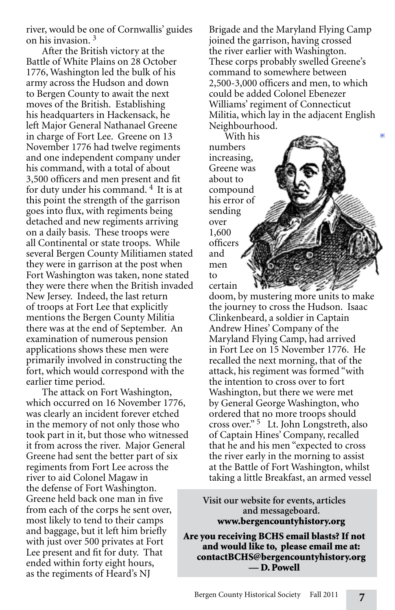river, would be one of Cornwallis' guides on his invasion. <sup>3</sup>

After the British victory at the Battle of White Plains on 28 October 1776, Washington led the bulk of his army across the Hudson and down to Bergen County to await the next moves of the British. Establishing his headquarters in Hackensack, he left Major General Nathanael Greene in charge of Fort Lee. Greene on 13 November 1776 had twelve regiments and one independent company under his command, with a total of about 3,500 officers and men present and fit for duty under his command. 4 It is at this point the strength of the garrison goes into flux, with regiments being detached and new regiments arriving on a daily basis. These troops were all Continental or state troops. While several Bergen County Militiamen stated they were in garrison at the post when Fort Washington was taken, none stated they were there when the British invaded New Jersey. Indeed, the last return of troops at Fort Lee that explicitly mentions the Bergen County Militia there was at the end of September. An examination of numerous pension applications shows these men were primarily involved in constructing the fort, which would correspond with the earlier time period.

The attack on Fort Washington, which occurred on 16 November 1776, was clearly an incident forever etched in the memory of not only those who took part in it, but those who witnessed it from across the river. Major General Greene had sent the better part of six regiments from Fort Lee across the river to aid Colonel Magaw in the defense of Fort Washington. Greene held back one man in five from each of the corps he sent over, most likely to tend to their camps and baggage, but it left him briefly with just over 500 privates at Fort Lee present and fit for duty. That ended within forty eight hours, as the regiments of Heard's NJ

Brigade and the Maryland Flying Camp joined the garrison, having crossed the river earlier with Washington. These corps probably swelled Greene's command to somewhere between 2,500-3,000 officers and men, to which could be added Colonel Ebenezer Williams' regiment of Connecticut Militia, which lay in the adjacent English Neighbourhood.

With his numbers increasing, Greene was about to compound his error of sending over 1,600 officers and men to certain

doom, by mustering more units to make the journey to cross the Hudson. Isaac Clinkenbeard, a soldier in Captain Andrew Hines' Company of the Maryland Flying Camp, had arrived in Fort Lee on 15 November 1776. He recalled the next morning, that of the attack, his regiment was formed "with the intention to cross over to fort Washington, but there we were met by General George Washington, who ordered that no more troops should cross over." 5 Lt. John Longstreth, also of Captain Hines' Company, recalled that he and his men "expected to cross the river early in the morning to assist at the Battle of Fort Washington, whilst taking a little Breakfast, an armed vessel

**Visit our website for events, articles and messageboard.** www.bergencountyhistory.org

Are you receiving BCHS email blasts? If not and would like to, please email me at: contactBCHS@bergencountyhistory.org — D. Powell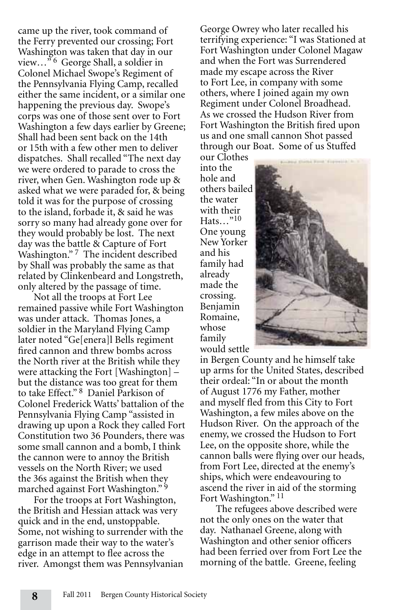came up the river, took command of the Ferry prevented our crossing; Fort Washington was taken that day in our view...<sup>56</sup> George Shall, a soldier in Colonel Michael Swope's Regiment of the Pennsylvania Flying Camp, recalled either the same incident, or a similar one happening the previous day. Swope's corps was one of those sent over to Fort Washington a few days earlier by Greene; Shall had been sent back on the 14th or 15th with a few other men to deliver dispatches. Shall recalled "The next day we were ordered to parade to cross the river, when Gen. Washington rode up & asked what we were paraded for, & being told it was for the purpose of crossing to the island, forbade it, & said he was sorry so many had already gone over for they would probably be lost. The next day was the battle & Capture of Fort Washington."<sup>7</sup> The incident described by Shall was probably the same as that related by Clinkenbeard and Longstreth, only altered by the passage of time.

Not all the troops at Fort Lee remained passive while Fort Washington was under attack. Thomas Jones, a soldier in the Maryland Flying Camp later noted "Ge[enera]l Bells regiment fired cannon and threw bombs across the North river at the British while they were attacking the Fort [Washington] – but the distance was too great for them to take Effect." 8 Daniel Parkison of Colonel Frederick Watts' battalion of the Pennsylvania Flying Camp "assisted in drawing up upon a Rock they called Fort Constitution two 36 Pounders, there was some small cannon and a bomb, I think the cannon were to annoy the British vessels on the North River; we used the 36s against the British when they marched against Fort Washington."<sup>9</sup>

For the troops at Fort Washington, the British and Hessian attack was very quick and in the end, unstoppable. Some, not wishing to surrender with the garrison made their way to the water's edge in an attempt to flee across the river. Amongst them was Pennsylvanian

George Owrey who later recalled his terrifying experience: "I was Stationed at Fort Washington under Colonel Magaw and when the Fort was Surrendered made my escape across the River to Fort Lee, in company with some others, where I joined again my own Regiment under Colonel Broadhead. As we crossed the Hudson River from Fort Washington the British fired upon us and one small cannon Shot passed through our Boat. Some of us Stuffed

our Clothes into the hole and others bailed the water with their Hats…"10 One young New Yorker and his family had already made the crossing. Benjamin Romaine, whose family would settle



in Bergen County and he himself take up arms for the United States, described their ordeal: "In or about the month of August 1776 my Father, mother and myself fled from this City to Fort Washington, a few miles above on the Hudson River. On the approach of the enemy, we crossed the Hudson to Fort Lee, on the opposite shore, while the cannon balls were flying over our heads, from Fort Lee, directed at the enemy's ships, which were endeavouring to ascend the river in aid of the storming Fort Washington."<sup>11</sup>

The refugees above described were not the only ones on the water that day. Nathanael Greene, along with Washington and other senior officers had been ferried over from Fort Lee the morning of the battle. Greene, feeling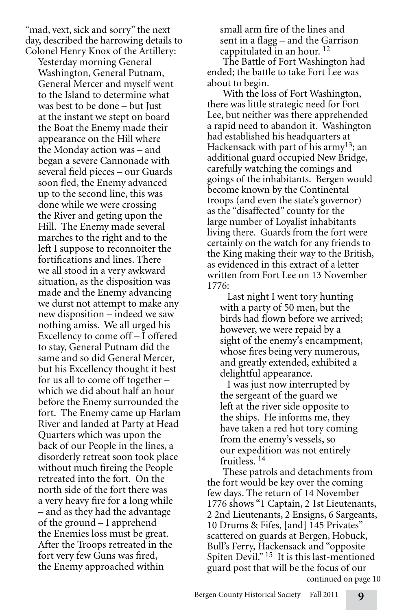"mad, vext, sick and sorry" the next day, described the harrowing details to Colonel Henry Knox of the Artillery:

Yesterday morning General Washington, General Putnam, General Mercer and myself went to the Island to determine what was best to be done – but Just at the instant we stept on board the Boat the Enemy made their appearance on the Hill where the Monday action was – and began a severe Cannonade with several field pieces – our Guards soon fled, the Enemy advanced up to the second line, this was done while we were crossing the River and geting upon the Hill. The Enemy made several marches to the right and to the left I suppose to reconnoiter the fortifications and lines. There we all stood in a very awkward situation, as the disposition was made and the Enemy advancing we durst not attempt to make any new disposition – indeed we saw nothing amiss. We all urged his Excellency to come off – I offered to stay, General Putnam did the same and so did General Mercer, but his Excellency thought it best for us all to come off together – which we did about half an hour before the Enemy surrounded the fort. The Enemy came up Harlam River and landed at Party at Head Quarters which was upon the back of our People in the lines, a disorderly retreat soon took place without much fireing the People retreated into the fort. On the north side of the fort there was a very heavy fire for a long while – and as they had the advantage of the ground – I apprehend the Enemies loss must be great. After the Troops retreated in the fort very few Guns was fired, the Enemy approached within

small arm fire of the lines and sent in a flagg – and the Garrison cappitulated in an hour.  $^{12}$ 

The Battle of Fort Washington had ended; the battle to take Fort Lee was about to begin.

With the loss of Fort Washington, there was little strategic need for Fort Lee, but neither was there apprehended a rapid need to abandon it. Washington had established his headquarters at Hackensack with part of his army<sup>13</sup>; an additional guard occupied New Bridge, carefully watching the comings and goings of the inhabitants. Bergen would become known by the Continental troops (and even the state's governor) as the "disaffected" county for the large number of Loyalist inhabitants living there. Guards from the fort were certainly on the watch for any friends to the King making their way to the British, as evidenced in this extract of a letter written from Fort Lee on 13 November 1776:

 Last night I went tory hunting with a party of 50 men, but the birds had flown before we arrived; however, we were repaid by a sight of the enemy's encampment, whose fires being very numerous, and greatly extended, exhibited a delightful appearance.

 I was just now interrupted by the sergeant of the guard we left at the river side opposite to the ships. He informs me, they have taken a red hot tory coming from the enemy's vessels, so our expedition was not entirely fruitless. 14

continued on page 10 These patrols and detachments from the fort would be key over the coming few days. The return of 14 November 1776 shows "1 Captain, 2 1st Lieutenants, 2 2nd Lieutenants, 2 Ensigns, 6 Sargeants, 10 Drums & Fifes, [and] 145 Privates" scattered on guards at Bergen, Hobuck, Bull's Ferry, Hackensack and "opposite Spiten Devil."<sup>15</sup> It is this last-mentioned guard post that will be the focus of our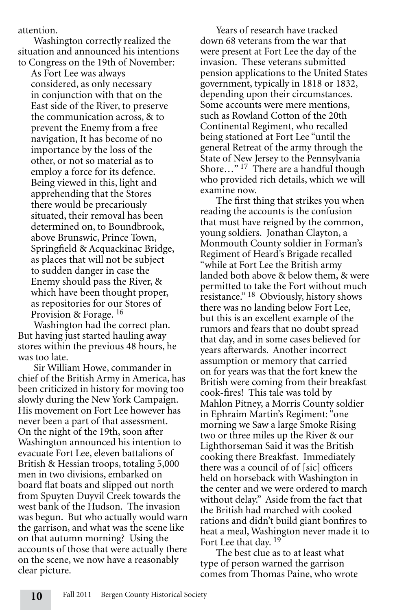attention.

Washington correctly realized the situation and announced his intentions to Congress on the 19th of November:

As Fort Lee was always considered, as only necessary in conjunction with that on the East side of the River, to preserve the communication across, & to prevent the Enemy from a free navigation, It has become of no importance by the loss of the other, or not so material as to employ a force for its defence. Being viewed in this, light and apprehending that the Stores there would be precariously situated, their removal has been determined on, to Boundbrook, above Brunswic, Prince Town, Springfield & Acquackinac Bridge, as places that will not be subject to sudden danger in case the Enemy should pass the River, & which have been thought proper, as repositories for our Stores of Provision & Forage. <sup>16</sup>

Washington had the correct plan. But having just started hauling away stores within the previous 48 hours, he was too late.

Sir William Howe, commander in chief of the British Army in America, has been criticized in history for moving too slowly during the New York Campaign. His movement on Fort Lee however has never been a part of that assessment. On the night of the 19th, soon after Washington announced his intention to evacuate Fort Lee, eleven battalions of British & Hessian troops, totaling 5,000 men in two divisions, embarked on board flat boats and slipped out north from Spuyten Duyvil Creek towards the west bank of the Hudson. The invasion was begun. But who actually would warn the garrison, and what was the scene like on that autumn morning? Using the accounts of those that were actually there on the scene, we now have a reasonably clear picture.

Years of research have tracked down 68 veterans from the war that were present at Fort Lee the day of the invasion. These veterans submitted pension applications to the United States government, typically in 1818 or 1832, depending upon their circumstances. Some accounts were mere mentions, such as Rowland Cotton of the 20th Continental Regiment, who recalled being stationed at Fort Lee "until the general Retreat of the army through the State of New Jersey to the Pennsylvania Shore…" 17 There are a handful though who provided rich details, which we will examine now.

The first thing that strikes you when reading the accounts is the confusion that must have reigned by the common, young soldiers. Jonathan Clayton, a Monmouth County soldier in Forman's Regiment of Heard's Brigade recalled "while at Fort Lee the British army landed both above & below them, & were permitted to take the Fort without much resistance." 18 Obviously, history shows there was no landing below Fort Lee, but this is an excellent example of the rumors and fears that no doubt spread that day, and in some cases believed for years afterwards. Another incorrect assumption or memory that carried on for years was that the fort knew the British were coming from their breakfast cook-fires! This tale was told by Mahlon Pitney, a Morris County soldier in Ephraim Martin's Regiment: "one morning we Saw a large Smoke Rising two or three miles up the River & our Lighthorseman Said it was the British cooking there Breakfast. Immediately there was a council of of [sic] officers held on horseback with Washington in the center and we were ordered to march without delay." Aside from the fact that the British had marched with cooked rations and didn't build giant bonfires to heat a meal, Washington never made it to Fort Lee that day. <sup>19</sup>

The best clue as to at least what type of person warned the garrison comes from Thomas Paine, who wrote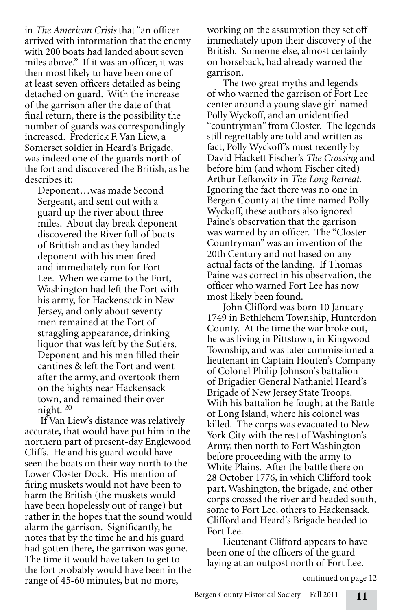in *The American Crisis* that "an officer arrived with information that the enemy with 200 boats had landed about seven miles above." If it was an officer, it was then most likely to have been one of at least seven officers detailed as being detached on guard. With the increase of the garrison after the date of that final return, there is the possibility the number of guards was correspondingly increased. Frederick F. Van Liew, a Somerset soldier in Heard's Brigade, was indeed one of the guards north of the fort and discovered the British, as he describes it:

Deponent…was made Second Sergeant, and sent out with a guard up the river about three miles. About day break deponent discovered the River full of boats of Brittish and as they landed deponent with his men fired and immediately run for Fort Lee. When we came to the Fort, Washington had left the Fort with his army, for Hackensack in New Jersey, and only about seventy men remained at the Fort of straggling appearance, drinking liquor that was left by the Sutlers. Deponent and his men filled their cantines & left the Fort and went after the army, and overtook them on the hights near Hackensack town, and remained their over night. <sup>20</sup>

If Van Liew's distance was relatively accurate, that would have put him in the northern part of present-day Englewood Cliffs. He and his guard would have seen the boats on their way north to the Lower Closter Dock. His mention of firing muskets would not have been to harm the British (the muskets would have been hopelessly out of range) but rather in the hopes that the sound would alarm the garrison. Significantly, he notes that by the time he and his guard had gotten there, the garrison was gone. The time it would have taken to get to the fort probably would have been in the range of 45-60 minutes, but no more,

working on the assumption they set off immediately upon their discovery of the British. Someone else, almost certainly on horseback, had already warned the garrison.

The two great myths and legends of who warned the garrison of Fort Lee center around a young slave girl named Polly Wyckoff, and an unidentified "countryman" from Closter. The legends still regrettably are told and written as fact, Polly Wyckoff's most recently by David Hackett Fischer's *The Crossing* and before him (and whom Fischer cited) Arthur Lefkowitz in *The Long Retreat.*  Ignoring the fact there was no one in Bergen County at the time named Polly Wyckoff, these authors also ignored Paine's observation that the garrison was warned by an officer. The "Closter Countryman" was an invention of the 20th Century and not based on any actual facts of the landing. If Thomas Paine was correct in his observation, the officer who warned Fort Lee has now most likely been found.

John Clifford was born 10 January 1749 in Bethlehem Township, Hunterdon County. At the time the war broke out, he was living in Pittstown, in Kingwood Township, and was later commissioned a lieutenant in Captain Houten's Company of Colonel Philip Johnson's battalion of Brigadier General Nathaniel Heard's Brigade of New Jersey State Troops. With his battalion he fought at the Battle of Long Island, where his colonel was killed. The corps was evacuated to New York City with the rest of Washington's Army, then north to Fort Washington before proceeding with the army to White Plains. After the battle there on 28 October 1776, in which Clifford took part, Washington, the brigade, and other corps crossed the river and headed south, some to Fort Lee, others to Hackensack. Clifford and Heard's Brigade headed to Fort Lee.

Lieutenant Clifford appears to have been one of the officers of the guard laying at an outpost north of Fort Lee.

continued on page 12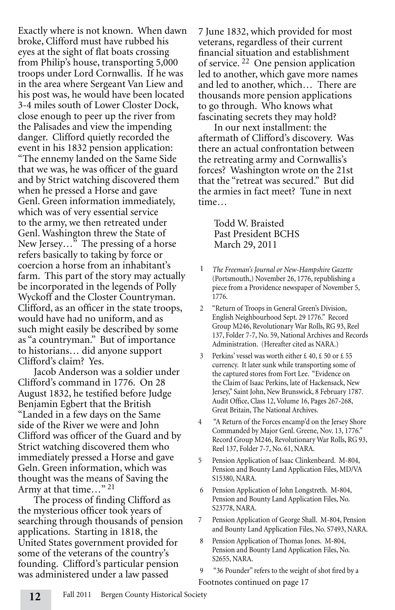Exactly where is not known. When dawn broke, Clifford must have rubbed his eyes at the sight of flat boats crossing from Philip's house, transporting 5,000 troops under Lord Cornwallis. If he was in the area where Sergeant Van Liew and his post was, he would have been located 3-4 miles south of Lower Closter Dock, close enough to peer up the river from the Palisades and view the impending danger. Clifford quietly recorded the event in his 1832 pension application: "The ennemy landed on the Same Side that we was, he was officer of the guard and by Strict watching discovered them when he pressed a Horse and gave Genl. Green information immediately, which was of very essential service to the army, we then retreated under Genl. Washington threw the State of New Jersey…" The pressing of a horse refers basically to taking by force or coercion a horse from an inhabitant's farm. This part of the story may actually be incorporated in the legends of Polly Wyckoff and the Closter Countryman. Clifford, as an officer in the state troops, would have had no uniform, and as such might easily be described by some as "a countryman." But of importance to historians… did anyone support Clifford's claim? Yes.

Jacob Anderson was a soldier under Clifford's command in 1776. On 28 August 1832, he testified before Judge Benjamin Egbert that the British "Landed in a few days on the Same side of the River we were and John Clifford was officer of the Guard and by Strict watching discovered them who immediately pressed a Horse and gave Geln. Green information, which was thought was the means of Saving the Army at that time..."<sup>21</sup>

The process of finding Clifford as the mysterious officer took years of searching through thousands of pension applications. Starting in 1818, the United States government provided for some of the veterans of the country's founding. Clifford's particular pension was administered under a law passed

7 June 1832, which provided for most veterans, regardless of their current financial situation and establishment of service. 22 One pension application led to another, which gave more names and led to another, which… There are thousands more pension applications to go through. Who knows what fascinating secrets they may hold?

In our next installment: the aftermath of Clifford's discovery. Was there an actual confrontation between the retreating army and Cornwallis's forces? Washington wrote on the 21st that the "retreat was secured." But did the armies in fact meet? Tune in next time…

Todd W. Braisted Past President BCHS March 29, 2011

- 1 *The Freeman's Journal or New-Hampshire Gazette*  (Portsmouth,) November 26, 1776, republishing a piece from a Providence newspaper of November 5, 1776.
- 2 "Return of Troops in General Green's Division, English Neighbourhood Sept. 29 1776." Record Group M246, Revolutionary War Rolls, RG 93, Reel 137, Folder 7-7, No. 59, National Archives and Records Administration. (Hereafter cited as NARA.)
- 3 Perkins' vessel was worth either  $\text{\pounds}$  40,  $\text{\pounds}$  50 or  $\text{\pounds}$  55 currency. It later sunk while transporting some of the captured stores from Fort Lee. "Evidence on the Claim of Isaac Perkins, late of Hackensack, New Jersey," Saint John, New Brunswick, 8 February 1787. Audit Office, Class 12, Volume 16, Pages 267-268, Great Britain, The National Archives.
- 4 "A Return of the Forces encamp'd on the Jersey Shore Commanded by Major Genl. Greene, Nov. 13, 1776." Record Group M246, Revolutionary War Rolls, RG 93, Reel 137, Folder 7-7, No. 61, NARA.
- 5 Pension Application of Isaac Clinkenbeard. M-804, Pension and Bounty Land Application Files, MD/VA S15380, NARA.
- 6 Pension Application of John Longstreth. M-804, Pension and Bounty Land Application Files, No. S23778, NARA.
- 7 Pension Application of George Shall. M-804, Pension and Bounty Land Application Files, No. S7493, NARA.
- 8 Pension Application of Thomas Jones. M-804, Pension and Bounty Land Application Files, No. S2655, NARA.
- "36 Pounder" refers to the weight of shot fired by a

Footnotes continued on page 17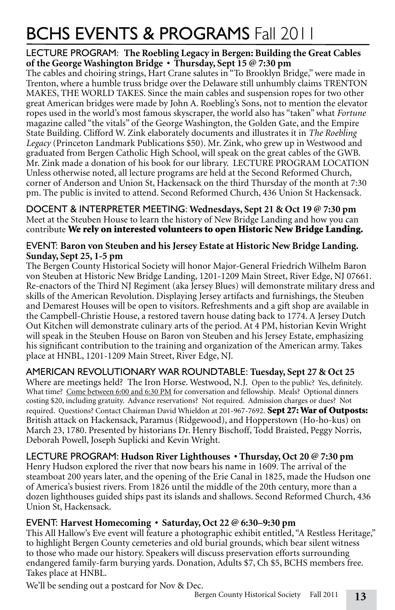# BCHS EVENTS & PROGRAMS Fall 2011

#### LECTURE PROGRAM: **The Roebling Legacy in Bergen: Building the Great Cables of the George Washington Bridge • Thursday, Sept 15 @ 7:30 pm**

The cables and choiring strings, Hart Crane salutes in "To Brooklyn Bridge," were made in Trenton, where a humble truss bridge over the Delaware still unhumbly claims TRENTON MAKES, THE WORLD TAKES. Since the main cables and suspension ropes for two other great American bridges were made by John A. Roebling's Sons, not to mention the elevator ropes used in the world's most famous skyscraper, the world also has "taken" what *Fortune*  magazine called "the vitals" of the George Washington, the Golden Gate, and the Empire State Building. Clifford W. Zink elaborately documents and illustrates it in *The Roebling Legacy* (Princeton Landmark Publications \$50). Mr. Zink, who grew up in Westwood and graduated from Bergen Catholic High School, will speak on the great cables of the GWB. Mr. Zink made a donation of his book for our library. LECTURE PROGRAM LOCATION Unless otherwise noted, all lecture programs are held at the Second Reformed Church, corner of Anderson and Union St, Hackensack on the third Thursday of the month at 7:30 pm. The public is invited to attend. Second Reformed Church, 436 Union St Hackensack.

DOCENT & INTERPRETER MEETING: **Wednesdays, Sept 21 & Oct 19 @ 7:30 pm** Meet at the Steuben House to learn the history of New Bridge Landing and how you can contribute We rely on interested volunteers to open Historic New Bridge Landing.

#### EVENT: **Baron von Steuben and his Jersey Estate at Historic New Bridge Landing. Sunday, Sept 25, 1-5 pm**

The Bergen County Historical Society will honor Major-General Friedrich Wilhelm Baron von Steuben at Historic New Bridge Landing, 1201-1209 Main Street, River Edge, NJ 07661. Re-enactors of the Third NJ Regiment (aka Jersey Blues) will demonstrate military dress and skills of the American Revolution. Displaying Jersey artifacts and furnishings, the Steuben and Demarest Houses will be open to visitors. Refreshments and a gift shop are available in the Campbell-Christie House, a restored tavern house dating back to 1774. A Jersey Dutch Out Kitchen will demonstrate culinary arts of the period. At 4 PM, historian Kevin Wright will speak in the Steuben House on Baron von Steuben and his Jersey Estate, emphasizing his significant contribution to the training and organization of the American army. Takes place at HNBL, 1201-1209 Main Street, River Edge, NJ.

#### AMERICAN REVOLUTIONARY WAR ROUNDTABLE: **Tuesday, Sept 27 & Oct 25**

Where are meetings held? The Iron Horse. Westwood, N.J. Open to the public? Yes, definitely. What time? Come between 6:00 and 6:30 PM for conversation and fellowship. Meals? Optional dinners costing \$20, including gratuity. Advance reservations? Not required. Admission charges or dues? Not required. Questions? Contact Chairman David Whieldon at 201-967-7692. Sept 27: War of Outposts: British attack on Hackensack, Paramus (Ridgewood), and Hopperstown (Ho-ho-kus) on March 23, 1780. Presented by historians Dr. Henry Bischoff, Todd Braisted, Peggy Norris, Deborah Powell, Joseph Suplicki and Kevin Wright.

#### LECTURE PROGRAM: **Hudson River Lighthouses • Thursday, Oct 20 @ 7:30 pm**

Henry Hudson explored the river that now bears his name in 1609. The arrival of the steamboat 200 years later, and the opening of the Erie Canal in 1825, made the Hudson one of America's busiest rivers. From 1826 until the middle of the 20th century, more than a dozen lighthouses guided ships past its islands and shallows. Second Reformed Church, 436 Union St, Hackensack.

#### EVENT: **Harvest Homecoming • Saturday, Oct 22 @ 6:30–9:30 pm**

This All Hallow's Eve event will feature a photographic exhibit entitled, "A Restless Heritage," to highlight Bergen County cemeteries and old burial grounds, which bear silent witness to those who made our history. Speakers will discuss preservation efforts surrounding endangered family-farm burying yards. Donation, Adults \$7, Ch \$5, BCHS members free. Takes place at HNBL.

We'll be sending out a postcard for Nov & Dec.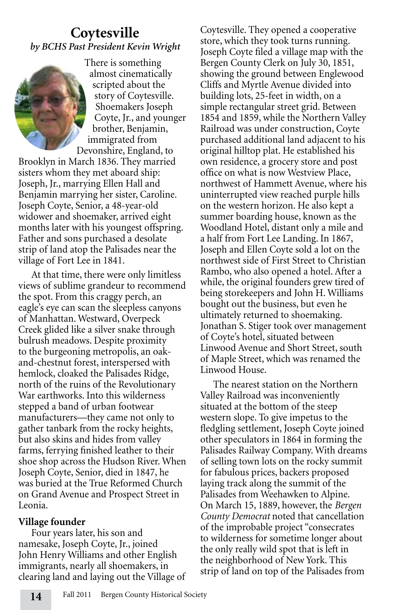# **Coytesville** *by BCHS Past President Kevin Wright*



There is something almost cinematically scripted about the story of Coytesville. Shoemakers Joseph Coyte, Jr., and younger brother, Benjamin, immigrated from Devonshire, England, to

Brooklyn in March 1836. They married sisters whom they met aboard ship: Joseph, Jr., marrying Ellen Hall and Benjamin marrying her sister, Caroline. Joseph Coyte, Senior, a 48-year-old widower and shoemaker, arrived eight months later with his youngest offspring. Father and sons purchased a desolate strip of land atop the Palisades near the village of Fort Lee in 1841.

At that time, there were only limitless views of sublime grandeur to recommend the spot. From this craggy perch, an eagle's eye can scan the sleepless canyons of Manhattan. Westward, Overpeck Creek glided like a silver snake through bulrush meadows. Despite proximity to the burgeoning metropolis, an oakand-chestnut forest, interspersed with hemlock, cloaked the Palisades Ridge, north of the ruins of the Revolutionary War earthworks. Into this wilderness stepped a band of urban footwear manufacturers—they came not only to gather tanbark from the rocky heights, but also skins and hides from valley farms, ferrying finished leather to their shoe shop across the Hudson River. When Joseph Coyte, Senior, died in 1847, he was buried at the True Reformed Church on Grand Avenue and Prospect Street in Leonia.

#### **Village founder**

Four years later, his son and namesake, Joseph Coyte, Jr., joined John Henry Williams and other English immigrants, nearly all shoemakers, in clearing land and laying out the Village of Coytesville. They opened a cooperative store, which they took turns running. Joseph Coyte filed a village map with the Bergen County Clerk on July 30, 1851, showing the ground between Englewood Cliffs and Myrtle Avenue divided into building lots, 25-feet in width, on a simple rectangular street grid. Between 1854 and 1859, while the Northern Valley Railroad was under construction, Coyte purchased additional land adjacent to his original hilltop plat. He established his own residence, a grocery store and post office on what is now Westview Place, northwest of Hammett Avenue, where his uninterrupted view reached purple hills on the western horizon. He also kept a summer boarding house, known as the Woodland Hotel, distant only a mile and a half from Fort Lee Landing. In 1867, Joseph and Ellen Coyte sold a lot on the northwest side of First Street to Christian Rambo, who also opened a hotel. After a while, the original founders grew tired of being storekeepers and John H. Williams bought out the business, but even he ultimately returned to shoemaking. Jonathan S. Stiger took over management of Coyte's hotel, situated between Linwood Avenue and Short Street, south of Maple Street, which was renamed the Linwood House.

The nearest station on the Northern Valley Railroad was inconveniently situated at the bottom of the steep western slope. To give impetus to the fledgling settlement, Joseph Coyte joined other speculators in 1864 in forming the Palisades Railway Company. With dreams of selling town lots on the rocky summit for fabulous prices, backers proposed laying track along the summit of the Palisades from Weehawken to Alpine. On March 15, 1889, however, the *Bergen County Democrat* noted that cancellation of the improbable project "consecrates to wilderness for sometime longer about the only really wild spot that is left in the neighborhood of New York. This strip of land on top of the Palisades from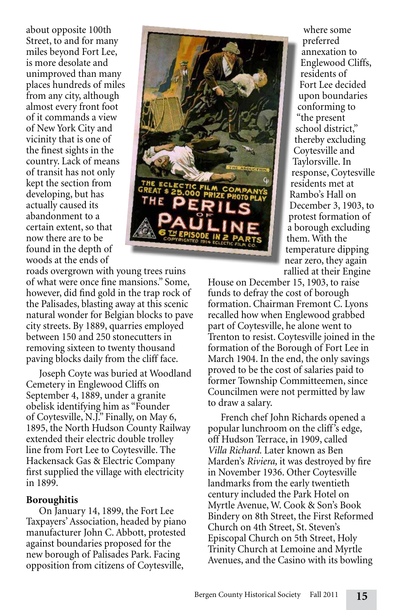about opposite 100th Street, to and for many miles beyond Fort Lee, is more desolate and unimproved than many places hundreds of miles from any city, although almost every front foot of it commands a view of New York City and vicinity that is one of the finest sights in the country. Lack of means of transit has not only kept the section from developing, but has actually caused its abandonment to a certain extent, so that now there are to be found in the depth of woods at the ends of

roads overgrown with young trees ruins of what were once fine mansions." Some, however, did find gold in the trap rock of the Palisades, blasting away at this scenic natural wonder for Belgian blocks to pave city streets. By 1889, quarries employed between 150 and 250 stonecutters in removing sixteen to twenty thousand paving blocks daily from the cliff face.

Joseph Coyte was buried at Woodland Cemetery in Englewood Cliffs on September 4, 1889, under a granite obelisk identifying him as "Founder of Coytesville, N.J." Finally, on May 6, 1895, the North Hudson County Railway extended their electric double trolley line from Fort Lee to Coytesville. The Hackensack Gas & Electric Company first supplied the village with electricity in 1899.

#### **Boroughitis**

On January 14, 1899, the Fort Lee Taxpayers' Association, headed by piano manufacturer John C. Abbott, protested against boundaries proposed for the new borough of Palisades Park. Facing opposition from citizens of Coytesville,



where some preferred annexation to Englewood Cliffs, residents of Fort Lee decided upon boundaries conforming to "the present school district," thereby excluding Coytesville and Taylorsville. In response, Coytesville residents met at Rambo's Hall on December 3, 1903, to protest formation of a borough excluding them. With the temperature dipping near zero, they again rallied at their Engine

House on December 15, 1903, to raise funds to defray the cost of borough formation. Chairman Fremont C. Lyons recalled how when Englewood grabbed part of Coytesville, he alone went to Trenton to resist. Coytesville joined in the formation of the Borough of Fort Lee in March 1904. In the end, the only savings proved to be the cost of salaries paid to former Township Committeemen, since Councilmen were not permitted by law to draw a salary.

French chef John Richards opened a popular lunchroom on the cliff's edge, off Hudson Terrace, in 1909, called *Villa Richard.* Later known as Ben Marden's *Riviera,* it was destroyed by fire in November 1936. Other Coytesville landmarks from the early twentieth century included the Park Hotel on Myrtle Avenue, W. Cook & Son's Book Bindery on 8th Street, the First Reformed Church on 4th Street, St. Steven's Episcopal Church on 5th Street, Holy Trinity Church at Lemoine and Myrtle Avenues, and the Casino with its bowling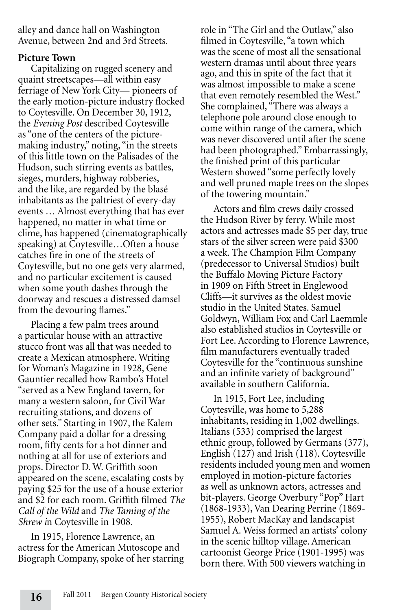alley and dance hall on Washington Avenue, between 2nd and 3rd Streets.

#### **Picture Town**

Capitalizing on rugged scenery and quaint streetscapes—all within easy ferriage of New York City— pioneers of the early motion-picture industry flocked to Coytesville. On December 30, 1912, the *Evening Post* described Coytesville as "one of the centers of the picturemaking industry," noting, "in the streets of this little town on the Palisades of the Hudson, such stirring events as battles, sieges, murders, highway robberies, and the like, are regarded by the blasé inhabitants as the paltriest of every-day events … Almost everything that has ever happened, no matter in what time or clime, has happened (cinematographically speaking) at Coytesville…Often a house catches fire in one of the streets of Coytesville, but no one gets very alarmed, and no particular excitement is caused when some youth dashes through the doorway and rescues a distressed damsel from the devouring flames."

Placing a few palm trees around a particular house with an attractive stucco front was all that was needed to create a Mexican atmosphere. Writing for Woman's Magazine in 1928, Gene Gauntier recalled how Rambo's Hotel "served as a New England tavern, for many a western saloon, for Civil War recruiting stations, and dozens of other sets." Starting in 1907, the Kalem Company paid a dollar for a dressing room, fifty cents for a hot dinner and nothing at all for use of exteriors and props. Director D. W. Griffith soon appeared on the scene, escalating costs by paying \$25 for the use of a house exterior and \$2 for each room. Griffith filmed *The Call of the Wild* and *The Taming of the Shrew i*n Coytesville in 1908.

In 1915, Florence Lawrence, an actress for the American Mutoscope and Biograph Company, spoke of her starring role in "The Girl and the Outlaw," also filmed in Coytesville, "a town which was the scene of most all the sensational western dramas until about three years ago, and this in spite of the fact that it was almost impossible to make a scene that even remotely resembled the West." She complained, "There was always a telephone pole around close enough to come within range of the camera, which was never discovered until after the scene had been photographed." Embarrassingly, the finished print of this particular Western showed "some perfectly lovely and well pruned maple trees on the slopes of the towering mountain."

Actors and film crews daily crossed the Hudson River by ferry. While most actors and actresses made \$5 per day, true stars of the silver screen were paid \$300 a week. The Champion Film Company (predecessor to Universal Studios) built the Buffalo Moving Picture Factory in 1909 on Fifth Street in Englewood Cliffs—it survives as the oldest movie studio in the United States. Samuel Goldwyn, William Fox and Carl Laemmle also established studios in Coytesville or Fort Lee. According to Florence Lawrence, film manufacturers eventually traded Coytesville for the "continuous sunshine and an infinite variety of background" available in southern California.

In 1915, Fort Lee, including Coytesville, was home to 5,288 inhabitants, residing in 1,002 dwellings. Italians (533) comprised the largest ethnic group, followed by Germans (377), English (127) and Irish (118). Coytesville residents included young men and women employed in motion-picture factories as well as unknown actors, actresses and bit-players. George Overbury "Pop" Hart (1868-1933), Van Dearing Perrine (1869- 1955), Robert MacKay and landscapist Samuel A. Weiss formed an artists' colony in the scenic hilltop village. American cartoonist George Price (1901-1995) was born there. With 500 viewers watching in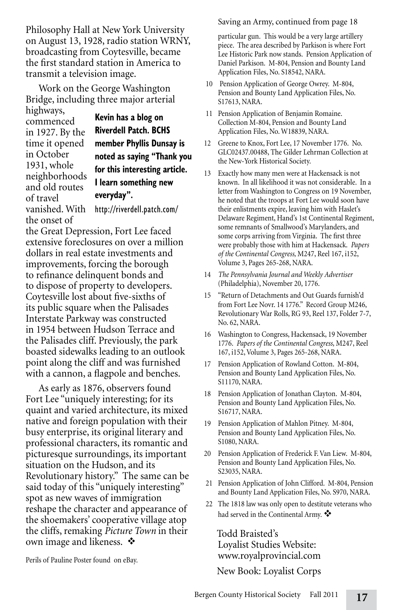Philosophy Hall at New York University on August 13, 1928, radio station WRNY, broadcasting from Coytesville, became the first standard station in America to transmit a television image.

Work on the George Washington Bridge, including three major arterial highways,

commenced in 1927. By the time it opened in October 1931, whole neighborhoods and old routes of travel vanished. With the onset of

**Kevin has a blog on Riverdell Patch. BCHS member Phyllis Dunsay is noted as saying "Thank you for this interesting article. I learn something new everyday".**

http://riverdell.patch.com/

the Great Depression, Fort Lee faced extensive foreclosures on over a million dollars in real estate investments and improvements, forcing the borough to refinance delinquent bonds and to dispose of property to developers. Coytesville lost about five-sixths of its public square when the Palisades Interstate Parkway was constructed in 1954 between Hudson Terrace and the Palisades cliff. Previously, the park boasted sidewalks leading to an outlook point along the cliff and was furnished with a cannon, a flagpole and benches.

As early as 1876, observers found Fort Lee "uniquely interesting; for its quaint and varied architecture, its mixed native and foreign population with their busy enterprise, its original literary and professional characters, its romantic and picturesque surroundings, its important situation on the Hudson, and its Revolutionary history." The same can be said today of this "uniquely interesting" spot as new waves of immigration reshape the character and appearance of the shoemakers' cooperative village atop the cliffs, remaking *Picture Town* in their own image and likeness.  $\mathbf{\hat{\cdot}}$ 

Perils of Pauline Poster found on eBay.

Saving an Army, continued from page 18

particular gun. This would be a very large artillery piece. The area described by Parkison is where Fort Lee Historic Park now stands. Pension Application of Daniel Parkison. M-804, Pension and Bounty Land Application Files, No. S18542, NARA.

- 10 Pension Application of George Owrey. M-804, Pension and Bounty Land Application Files, No. S17613, NARA.
- 11 Pension Application of Benjamin Romaine. Collection M-804, Pension and Bounty Land Application Files, No. W18839, NARA.
- 12 Greene to Knox, Fort Lee, 17 November 1776. No. GLC02437.00488, The Gilder Lehrman Collection at the New-York Historical Society.
- 13 Exactly how many men were at Hackensack is not known. In all likelihood it was not considerable. In a letter from Washington to Congress on 19 November, he noted that the troops at Fort Lee would soon have their enlistments expire, leaving him with Haslet's Delaware Regiment, Hand's 1st Continental Regiment, some remnants of Smallwood's Marylanders, and some corps arriving from Virginia. The first three were probably those with him at Hackensack. *Papers of the Continental Congress,* M247, Reel 167, i152, Volume 3, Pages 265-268, NARA.
- 14 *The Pennsylvania Journal and Weekly Advertiser*  (Philadelphia), November 20, 1776.
- 15 "Return of Detachments and Out Guards furnish'd from Fort Lee Novr. 14 1776." Record Group M246, Revolutionary War Rolls, RG 93, Reel 137, Folder 7-7, No. 62, NARA.
- 16 Washington to Congress, Hackensack, 19 November 1776. *Papers of the Continental Congress,* M247, Reel 167, i152, Volume 3, Pages 265-268, NARA.
- 17 Pension Application of Rowland Cotton. M-804, Pension and Bounty Land Application Files, No. S11170, NARA.
- 18 Pension Application of Jonathan Clayton. M-804, Pension and Bounty Land Application Files, No. S16717, NARA.
- 19 Pension Application of Mahlon Pitney. M-804, Pension and Bounty Land Application Files, No. S1080, NARA.
- 20 Pension Application of Frederick F. Van Liew. M-804, Pension and Bounty Land Application Files, No. S23035, NARA.
- 21 Pension Application of John Clifford. M-804, Pension and Bounty Land Application Files, No. S970, NARA.
- 22 The 1818 law was only open to destitute veterans who had served in the Continental Army.  $\clubsuit$

Todd Braisted's Loyalist Studies Website: www.royalprovincial.com New Book: Loyalist Corps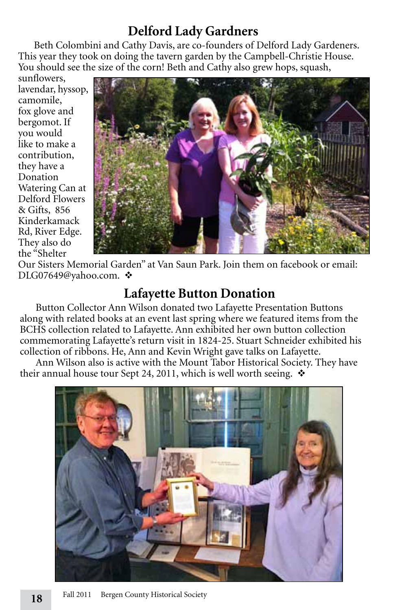# **Delford Lady Gardners**

Beth Colombini and Cathy Davis, are co-founders of Delford Lady Gardeners. This year they took on doing the tavern garden by the Campbell-Christie House. You should see the size of the corn! Beth and Cathy also grew hops, squash,

sunflowers, lavendar, hyssop, camomile, fox glove and bergomot. If you would like to make a contribution, they have a Donation Watering Can at Delford Flowers & Gifts, 856 Kinderkamack Rd, River Edge. They also do the "Shelter



Our Sisters Memorial Garden" at Van Saun Park. Join them on facebook or email: DLG07649@yahoo.com. ❖

# **Lafayette Button Donation**

Button Collector Ann Wilson donated two Lafayette Presentation Buttons along with related books at an event last spring where we featured items from the BCHS collection related to Lafayette. Ann exhibited her own button collection commemorating Lafayette's return visit in 1824-25. Stuart Schneider exhibited his collection of ribbons. He, Ann and Kevin Wright gave talks on Lafayette.

Ann Wilson also is active with the Mount Tabor Historical Society. They have their annual house tour Sept 24, 2011, which is well worth seeing.  $\cdot$ 

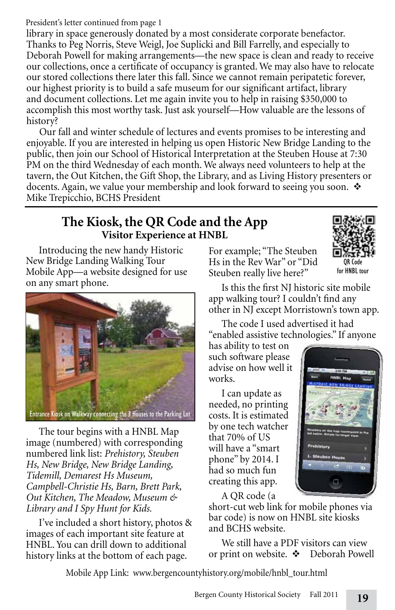#### President's letter continued from page 1

library in space generously donated by a most considerate corporate benefactor. Thanks to Peg Norris, Steve Weigl, Joe Suplicki and Bill Farrelly, and especially to Deborah Powell for making arrangements—the new space is clean and ready to receive our collections, once a certificate of occupancy is granted. We may also have to relocate our stored collections there later this fall. Since we cannot remain peripatetic forever, our highest priority is to build a safe museum for our significant artifact, library and document collections. Let me again invite you to help in raising \$350,000 to accomplish this most worthy task. Just ask yourself—How valuable are the lessons of history?

Our fall and winter schedule of lectures and events promises to be interesting and enjoyable. If you are interested in helping us open Historic New Bridge Landing to the public, then join our School of Historical Interpretation at the Steuben House at 7:30 PM on the third Wednesday of each month. We always need volunteers to help at the tavern, the Out Kitchen, the Gift Shop, the Library, and as Living History presenters or docents. Again, we value your membership and look forward to seeing you soon.  $\mathbf{\hat{v}}$ Mike Trepicchio, BCHS President

## **The Kiosk, the QR Code and the App Visitor Experience at HNBL**

Introducing the new handy Historic New Bridge Landing Walking Tour Mobile App—a website designed for use on any smart phone.



The tour begins with a HNBL Map image (numbered) with corresponding numbered link list: *Prehistory, Steuben Hs, New Bridge, New Bridge Landing, Tidemill, Demarest Hs Museum, Campbell-Christie Hs, Barn, Brett Park, Out Kitchen, The Meadow, Museum & Library and I Spy Hunt for Kids.* 

I've included a short history, photos & images of each important site feature at HNBL. You can drill down to additional history links at the bottom of each page.

For example; "The Steuben Hs in the Rev War" or "Did Steuben really live here?"



Is this the first NJ historic site mobile app walking tour? I couldn't find any other in NJ except Morristown's town app.

The code I used advertised it had "enabled assistive technologies." If anyone

has ability to test on such software please advise on how well it works.

I can update as needed, no printing costs. It is estimated by one tech watcher that 70% of US will have a "smart phone" by 2014. I had so much fun creating this app.



A QR code (a

short-cut web link for mobile phones via bar code) is now on HNBL site kiosks and BCHS website.

We still have a PDF visitors can view or print on website.  $\mathbf{\hat{P}}$  Deborah Powell

Mobile App Link: www.bergencountyhistory.org/mobile/hnbl\_tour.html